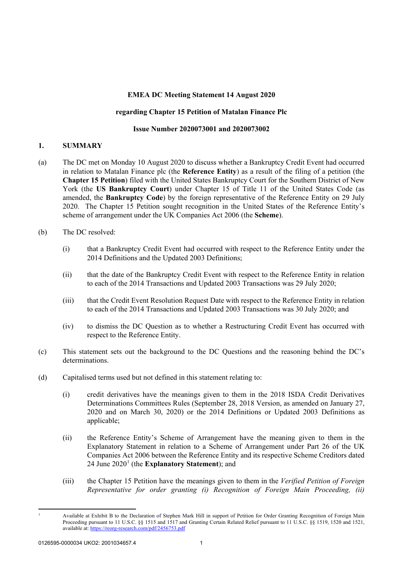## **EMEA DC Meeting Statement 14 August 2020**

## **regarding Chapter 15 Petition of Matalan Finance Plc**

#### **Issue Number 2020073001 and 2020073002**

## **1. SUMMARY**

- (a) The DC met on Monday 10 August 2020 to discuss whether a Bankruptcy Credit Event had occurred in relation to Matalan Finance plc (the **Reference Entity**) as a result of the filing of a petition (the **Chapter 15 Petition**) filed with the United States Bankruptcy Court for the Southern District of New York (the **US Bankruptcy Court**) under Chapter 15 of Title 11 of the United States Code (as amended, the **Bankruptcy Code**) by the foreign representative of the Reference Entity on 29 July 2020. The Chapter 15 Petition sought recognition in the United States of the Reference Entity's scheme of arrangement under the UK Companies Act 2006 (the **Scheme**).
- (b) The DC resolved:
	- (i) that a Bankruptcy Credit Event had occurred with respect to the Reference Entity under the 2014 Definitions and the Updated 2003 Definitions;
	- (ii) that the date of the Bankruptcy Credit Event with respect to the Reference Entity in relation to each of the 2014 Transactions and Updated 2003 Transactions was 29 July 2020;
	- (iii) that the Credit Event Resolution Request Date with respect to the Reference Entity in relation to each of the 2014 Transactions and Updated 2003 Transactions was 30 July 2020; and
	- (iv) to dismiss the DC Question as to whether a Restructuring Credit Event has occurred with respect to the Reference Entity.
- (c) This statement sets out the background to the DC Questions and the reasoning behind the DC's determinations.
- (d) Capitalised terms used but not defined in this statement relating to:
	- (i) credit derivatives have the meanings given to them in the 2018 ISDA Credit Derivatives Determinations Committees Rules (September 28, 2018 Version, as amended on January 27, 2020 and on March 30, 2020) or the 2014 Definitions or Updated 2003 Definitions as applicable;
	- (ii) the Reference Entity's Scheme of Arrangement have the meaning given to them in the Explanatory Statement in relation to a Scheme of Arrangement under Part 26 of the UK Companies Act 2006 between the Reference Entity and its respective Scheme Creditors dated 24 June 2020<sup>[1](#page-0-0)</sup> (the **Explanatory Statement**); and
	- (iii) the Chapter 15 Petition have the meanings given to them in the *Verified Petition of Foreign Representative for order granting (i) Recognition of Foreign Main Proceeding, (ii)*

<span id="page-0-0"></span> $\overline{a}$ 

<sup>1</sup> Available at Exhibit B to the Declaration of Stephen Mark Hill in support of Petition for Order Granting Recognition of Foreign Main Proceeding pursuant to 11 U.S.C. §§ 1515 and 1517 and Granting Certain Related Relief pursuant to 11 U.S.C. §§ 1519, 1520 and 1521, available at[: https://reorg-research.com/pdf/2456753.pdf](https://reorg-research.com/pdf/2456753.pdf)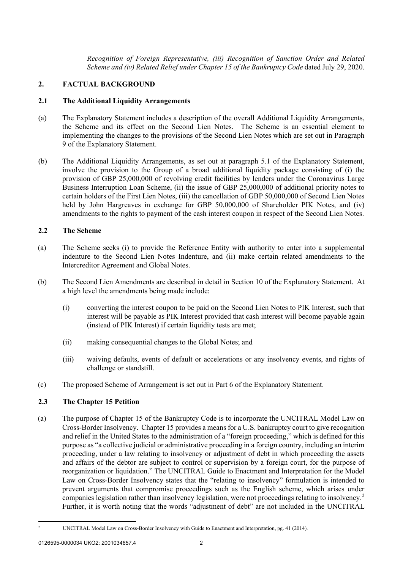*Recognition of Foreign Representative, (iii) Recognition of Sanction Order and Related Scheme and (iv) Related Relief under Chapter 15 of the Bankruptcy Code* dated July 29, 2020.

## **2. FACTUAL BACKGROUND**

#### **2.1 The Additional Liquidity Arrangements**

- (a) The Explanatory Statement includes a description of the overall Additional Liquidity Arrangements, the Scheme and its effect on the Second Lien Notes. The Scheme is an essential element to implementing the changes to the provisions of the Second Lien Notes which are set out in Paragraph 9 of the Explanatory Statement.
- (b) The Additional Liquidity Arrangements, as set out at paragraph 5.1 of the Explanatory Statement, involve the provision to the Group of a broad additional liquidity package consisting of (i) the provision of GBP 25,000,000 of revolving credit facilities by lenders under the Coronavirus Large Business Interruption Loan Scheme, (ii) the issue of GBP 25,000,000 of additional priority notes to certain holders of the First Lien Notes, (iii) the cancellation of GBP 50,000,000 of Second Lien Notes held by John Hargreaves in exchange for GBP 50,000,000 of Shareholder PIK Notes, and (iv) amendments to the rights to payment of the cash interest coupon in respect of the Second Lien Notes.

## **2.2 The Scheme**

- (a) The Scheme seeks (i) to provide the Reference Entity with authority to enter into a supplemental indenture to the Second Lien Notes Indenture, and (ii) make certain related amendments to the Intercreditor Agreement and Global Notes.
- (b) The Second Lien Amendments are described in detail in Section 10 of the Explanatory Statement. At a high level the amendments being made include:
	- (i) converting the interest coupon to be paid on the Second Lien Notes to PIK Interest, such that interest will be payable as PIK Interest provided that cash interest will become payable again (instead of PIK Interest) if certain liquidity tests are met;
	- (ii) making consequential changes to the Global Notes; and
	- (iii) waiving defaults, events of default or accelerations or any insolvency events, and rights of challenge or standstill.
- (c) The proposed Scheme of Arrangement is set out in Part 6 of the Explanatory Statement.

## **2.3 The Chapter 15 Petition**

(a) The purpose of Chapter 15 of the Bankruptcy Code is to incorporate the UNCITRAL Model Law on Cross-Border Insolvency. Chapter 15 provides a means for a U.S. bankruptcy court to give recognition and relief in the United States to the administration of a "foreign proceeding," which is defined for this purpose as "a collective judicial or administrative proceeding in a foreign country, including an interim proceeding, under a law relating to insolvency or adjustment of debt in which proceeding the assets and affairs of the debtor are subject to control or supervision by a foreign court, for the purpose of reorganization or liquidation." The UNCITRAL Guide to Enactment and Interpretation for the Model Law on Cross-Border Insolvency states that the "relating to insolvency" formulation is intended to prevent arguments that compromise proceedings such as the English scheme, which arises under companies legislation rather than insolvency legislation, were not proceedings relating to insolvency.[2](#page-1-0) Further, it is worth noting that the words "adjustment of debt" are not included in the UNCITRAL

<span id="page-1-0"></span> $\overline{a}$ 

<sup>2</sup> UNCITRAL Model Law on Cross-Border Insolvency with Guide to Enactment and Interpretation, pg. 41 (2014).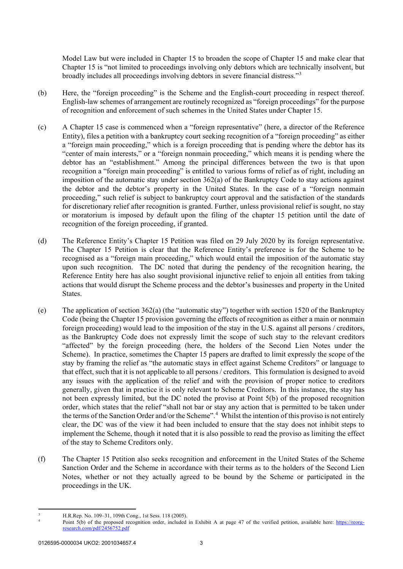Model Law but were included in Chapter 15 to broaden the scope of Chapter 15 and make clear that Chapter 15 is "not limited to proceedings involving only debtors which are technically insolvent, but broadly includes all proceedings involving debtors in severe financial distress."[3](#page-2-0)

- (b) Here, the "foreign proceeding" is the Scheme and the English-court proceeding in respect thereof. English-law schemes of arrangement are routinely recognized as "foreign proceedings" for the purpose of recognition and enforcement of such schemes in the United States under Chapter 15.
- (c) A Chapter 15 case is commenced when a "foreign representative" (here, a director of the Reference Entity), files a petition with a bankruptcy court seeking recognition of a "foreign proceeding" as either a "foreign main proceeding," which is a foreign proceeding that is pending where the debtor has its "center of main interests," or a "foreign nonmain proceeding," which means it is pending where the debtor has an "establishment." Among the principal differences between the two is that upon recognition a "foreign main proceeding" is entitled to various forms of relief as of right, including an imposition of the automatic stay under section 362(a) of the Bankruptcy Code to stay actions against the debtor and the debtor's property in the United States. In the case of a "foreign nonmain proceeding," such relief is subject to bankruptcy court approval and the satisfaction of the standards for discretionary relief after recognition is granted. Further, unless provisional relief is sought, no stay or moratorium is imposed by default upon the filing of the chapter 15 petition until the date of recognition of the foreign proceeding, if granted.
- (d) The Reference Entity's Chapter 15 Petition was filed on 29 July 2020 by its foreign representative. The Chapter 15 Petition is clear that the Reference Entity's preference is for the Scheme to be recognised as a "foreign main proceeding," which would entail the imposition of the automatic stay upon such recognition. The DC noted that during the pendency of the recognition hearing, the Reference Entity here has also sought provisional injunctive relief to enjoin all entities from taking actions that would disrupt the Scheme process and the debtor's businesses and property in the United States.
- (e) The application of section 362(a) (the "automatic stay") together with section 1520 of the Bankruptcy Code (being the Chapter 15 provision governing the effects of recognition as either a main or nonmain foreign proceeding) would lead to the imposition of the stay in the U.S. against all persons / creditors, as the Bankruptcy Code does not expressly limit the scope of such stay to the relevant creditors "affected" by the foreign proceeding (here, the holders of the Second Lien Notes under the Scheme). In practice, sometimes the Chapter 15 papers are drafted to limit expressly the scope of the stay by framing the relief as "the automatic stays in effect against Scheme Creditors" or language to that effect, such that it is not applicable to all persons / creditors. This formulation is designed to avoid any issues with the application of the relief and with the provision of proper notice to creditors generally, given that in practice it is only relevant to Scheme Creditors. In this instance, the stay has not been expressly limited, but the DC noted the proviso at Point 5(b) of the proposed recognition order, which states that the relief "shall not bar or stay any action that is permitted to be taken under the terms of the Sanction Order and/or the Scheme".<sup>[4](#page-2-1)</sup> Whilst the intention of this proviso is not entirely clear, the DC was of the view it had been included to ensure that the stay does not inhibit steps to implement the Scheme, though it noted that it is also possible to read the proviso as limiting the effect of the stay to Scheme Creditors only.
- (f) The Chapter 15 Petition also seeks recognition and enforcement in the United States of the Scheme Sanction Order and the Scheme in accordance with their terms as to the holders of the Second Lien Notes, whether or not they actually agreed to be bound by the Scheme or participated in the proceedings in the UK.

 $\overline{a}$ 

<span id="page-2-1"></span><span id="page-2-0"></span><sup>3</sup> H.R.Rep. No. 109–31, 109th Cong., 1st Sess. 118 (2005).

Point 5(b) of the proposed recognition order, included in Exhibit A at page 47 of the verified petition, available here: [https://reorg](https://reorg-research.com/pdf/2456752.pdf)[research.com/pdf/2456752.pdf](https://reorg-research.com/pdf/2456752.pdf)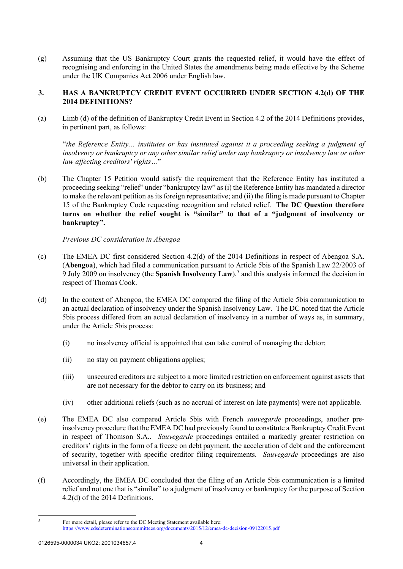(g) Assuming that the US Bankruptcy Court grants the requested relief, it would have the effect of recognising and enforcing in the United States the amendments being made effective by the Scheme under the UK Companies Act 2006 under English law.

## **3. HAS A BANKRUPTCY CREDIT EVENT OCCURRED UNDER SECTION 4.2(d) OF THE 2014 DEFINITIONS?**

(a) Limb (d) of the definition of Bankruptcy Credit Event in Section 4.2 of the 2014 Definitions provides, in pertinent part, as follows:

"*the Reference Entity… institutes or has instituted against it a proceeding seeking a judgment of insolvency or bankruptcy or any other similar relief under any bankruptcy or insolvency law or other law affecting creditors' rights…*"

(b) The Chapter 15 Petition would satisfy the requirement that the Reference Entity has instituted a proceeding seeking "relief" under "bankruptcy law" as (i) the Reference Entity has mandated a director to make the relevant petition as its foreign representative; and (ii) the filing is made pursuant to Chapter 15 of the Bankruptcy Code requesting recognition and related relief. **The DC Question therefore turns on whether the relief sought is "similar" to that of a "judgment of insolvency or bankruptcy".**

## *Previous DC consideration in Abengoa*

- (c) The EMEA DC first considered Section 4.2(d) of the 2014 Definitions in respect of Abengoa S.A. (**Abengoa**), which had filed a communication pursuant to Article 5bis of the Spanish Law 22/2003 of 9 July 2009 on insolvency (the **Spanish Insolvency Law**), [5](#page-3-0) and this analysis informed the decision in respect of Thomas Cook.
- (d) In the context of Abengoa, the EMEA DC compared the filing of the Article 5bis communication to an actual declaration of insolvency under the Spanish Insolvency Law. The DC noted that the Article 5bis process differed from an actual declaration of insolvency in a number of ways as, in summary, under the Article 5bis process:
	- (i) no insolvency official is appointed that can take control of managing the debtor;
	- (ii) no stay on payment obligations applies;
	- (iii) unsecured creditors are subject to a more limited restriction on enforcement against assets that are not necessary for the debtor to carry on its business; and
	- (iv) other additional reliefs (such as no accrual of interest on late payments) were not applicable.
- (e) The EMEA DC also compared Article 5bis with French *sauvegarde* proceedings, another preinsolvency procedure that the EMEA DC had previously found to constitute a Bankruptcy Credit Event in respect of Thomson S.A.. *Sauvegarde* proceedings entailed a markedly greater restriction on creditors' rights in the form of a freeze on debt payment, the acceleration of debt and the enforcement of security, together with specific creditor filing requirements. *Sauvegarde* proceedings are also universal in their application.
- (f) Accordingly, the EMEA DC concluded that the filing of an Article 5bis communication is a limited relief and not one that is "similar" to a judgment of insolvency or bankruptcy for the purpose of Section 4.2(d) of the 2014 Definitions.

<span id="page-3-0"></span> $\overline{\phantom{0}}$ <sup>5</sup> For more detail, please refer to the DC Meeting Statement available here: <https://www.cdsdeterminationscommittees.org/documents/2015/12/emea-dc-decision-09122015.pdf>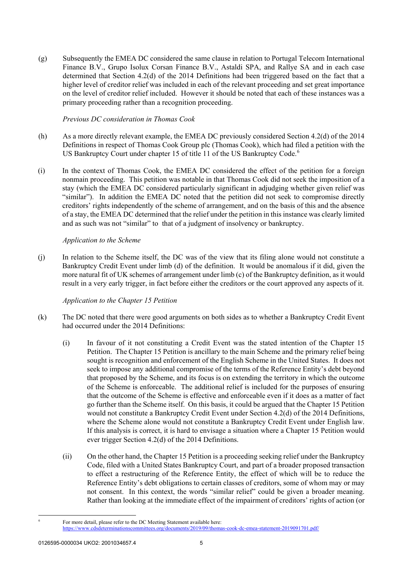(g) Subsequently the EMEA DC considered the same clause in relation to Portugal Telecom International Finance B.V., Grupo Isolux Corsan Finance B.V., Astaldi SPA, and Rallye SA and in each case determined that Section 4.2(d) of the 2014 Definitions had been triggered based on the fact that a higher level of creditor relief was included in each of the relevant proceeding and set great importance on the level of creditor relief included. However it should be noted that each of these instances was a primary proceeding rather than a recognition proceeding.

## *Previous DC consideration in Thomas Cook*

- (h) As a more directly relevant example, the EMEA DC previously considered Section 4.2(d) of the 2014 Definitions in respect of Thomas Cook Group plc (Thomas Cook), which had filed a petition with the US Bankruptcy Court under chapter 15 of title 11 of the US Bankruptcy Code.<sup>[6](#page-4-0)</sup>
- (i) In the context of Thomas Cook, the EMEA DC considered the effect of the petition for a foreign nonmain proceeding. This petition was notable in that Thomas Cook did not seek the imposition of a stay (which the EMEA DC considered particularly significant in adjudging whether given relief was "similar"). In addition the EMEA DC noted that the petition did not seek to compromise directly creditors' rights independently of the scheme of arrangement, and on the basis of this and the absence of a stay, the EMEA DC determined that the relief under the petition in this instance was clearly limited and as such was not "similar" to that of a judgment of insolvency or bankruptcy.

## *Application to the Scheme*

(j) In relation to the Scheme itself, the DC was of the view that its filing alone would not constitute a Bankruptcy Credit Event under limb (d) of the definition. It would be anomalous if it did, given the more natural fit of UK schemes of arrangement under limb (c) of the Bankruptcy definition, as it would result in a very early trigger, in fact before either the creditors or the court approved any aspects of it.

# *Application to the Chapter 15 Petition*

- <span id="page-4-1"></span>(k) The DC noted that there were good arguments on both sides as to whether a Bankruptcy Credit Event had occurred under the 2014 Definitions:
	- (i) In favour of it not constituting a Credit Event was the stated intention of the Chapter 15 Petition. The Chapter 15 Petition is ancillary to the main Scheme and the primary relief being sought is recognition and enforcement of the English Scheme in the United States. It does not seek to impose any additional compromise of the terms of the Reference Entity's debt beyond that proposed by the Scheme, and its focus is on extending the territory in which the outcome of the Scheme is enforceable. The additional relief is included for the purposes of ensuring that the outcome of the Scheme is effective and enforceable even if it does as a matter of fact go further than the Scheme itself. On this basis, it could be argued that the Chapter 15 Petition would not constitute a Bankruptcy Credit Event under Section 4.2(d) of the 2014 Definitions, where the Scheme alone would not constitute a Bankruptcy Credit Event under English law. If this analysis is correct, it is hard to envisage a situation where a Chapter 15 Petition would ever trigger Section 4.2(d) of the 2014 Definitions.
	- (ii) On the other hand, the Chapter 15 Petition is a proceeding seeking relief under the Bankruptcy Code, filed with a United States Bankruptcy Court, and part of a broader proposed transaction to effect a restructuring of the Reference Entity, the effect of which will be to reduce the Reference Entity's debt obligations to certain classes of creditors, some of whom may or may not consent. In this context, the words "similar relief" could be given a broader meaning. Rather than looking at the immediate effect of the impairment of creditors' rights of action (or

<span id="page-4-2"></span> $\overline{\phantom{a}}$ 

<span id="page-4-0"></span>For more detail, please refer to the DC Meeting Statement available here:

<https://www.cdsdeterminationscommittees.org/documents/2019/09/thomas-cook-dc-emea-statement-2019091701.pdf/>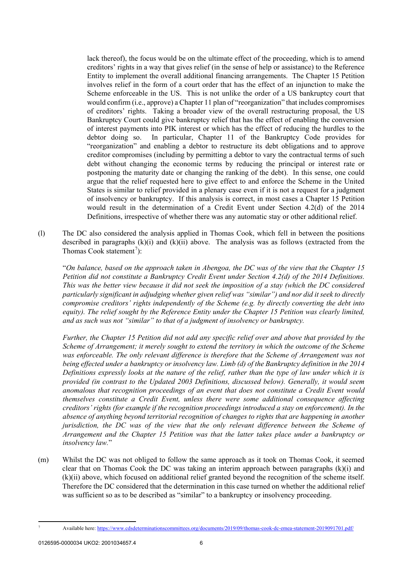lack thereof), the focus would be on the ultimate effect of the proceeding, which is to amend creditors' rights in a way that gives relief (in the sense of help or assistance) to the Reference Entity to implement the overall additional financing arrangements. The Chapter 15 Petition involves relief in the form of a court order that has the effect of an injunction to make the Scheme enforceable in the US. This is not unlike the order of a US bankruptcy court that would confirm (i.e., approve) a Chapter 11 plan of "reorganization" that includes compromises of creditors' rights. Taking a broader view of the overall restructuring proposal, the US Bankruptcy Court could give bankruptcy relief that has the effect of enabling the conversion of interest payments into PIK interest or which has the effect of reducing the hurdles to the debtor doing so. In particular, Chapter 11 of the Bankruptcy Code provides for "reorganization" and enabling a debtor to restructure its debt obligations and to approve creditor compromises (including by permitting a debtor to vary the contractual terms of such debt without changing the economic terms by reducing the principal or interest rate or postponing the maturity date or changing the ranking of the debt). In this sense, one could argue that the relief requested here to give effect to and enforce the Scheme in the United States is similar to relief provided in a plenary case even if it is not a request for a judgment of insolvency or bankruptcy. If this analysis is correct, in most cases a Chapter 15 Petition would result in the determination of a Credit Event under Section 4.2(d) of the 2014 Definitions, irrespective of whether there was any automatic stay or other additional relief.

(l) The DC also considered the analysis applied in Thomas Cook, which fell in between the positions described in paragraphs  $(k)(i)$  and  $(k)(ii)$  above. The analysis was as follows (extracted from the Thomas Cook statement<sup>[7](#page-5-0)</sup>):

"*On balance, based on the approach taken in Abengoa, the DC was of the view that the Chapter 15 Petition did not constitute a Bankruptcy Credit Event under Section 4.2(d) of the 2014 Definitions. This was the better view because it did not seek the imposition of a stay (which the DC considered particularly significant in adjudging whether given relief was "similar") and nor did it seek to directly compromise creditors' rights independently of the Scheme (e.g. by directly converting the debt into equity). The relief sought by the Reference Entity under the Chapter 15 Petition was clearly limited, and as such was not "similar" to that of a judgment of insolvency or bankruptcy.*

*Further, the Chapter 15 Petition did not add any specific relief over and above that provided by the Scheme of Arrangement; it merely sought to extend the territory in which the outcome of the Scheme was enforceable. The only relevant difference is therefore that the Scheme of Arrangement was not being effected under a bankruptcy or insolvency law. Limb (d) of the Bankruptcy definition in the 2014 Definitions expressly looks at the nature of the relief, rather than the type of law under which it is provided (in contrast to the Updated 2003 Definitions, discussed below). Generally, it would seem anomalous that recognition proceedings of an event that does not constitute a Credit Event would themselves constitute a Credit Event, unless there were some additional consequence affecting creditors' rights (for example if the recognition proceedings introduced a stay on enforcement). In the absence of anything beyond territorial recognition of changes to rights that are happening in another jurisdiction, the DC was of the view that the only relevant difference between the Scheme of Arrangement and the Chapter 15 Petition was that the latter takes place under a bankruptcy or insolvency law.*"

(m) Whilst the DC was not obliged to follow the same approach as it took on Thomas Cook, it seemed clear that on Thomas Cook the DC was taking an interim approach between paragraphs  $(k)(i)$  and [\(k\)\(ii\) above,](#page-4-2) which focused on additional relief granted beyond the recognition of the scheme itself. Therefore the DC considered that the determination in this case turned on whether the additional relief was sufficient so as to be described as "similar" to a bankruptcy or insolvency proceeding.

<span id="page-5-0"></span> $\overline{a}$ 

<sup>7</sup> Available here:<https://www.cdsdeterminationscommittees.org/documents/2019/09/thomas-cook-dc-emea-statement-2019091701.pdf/>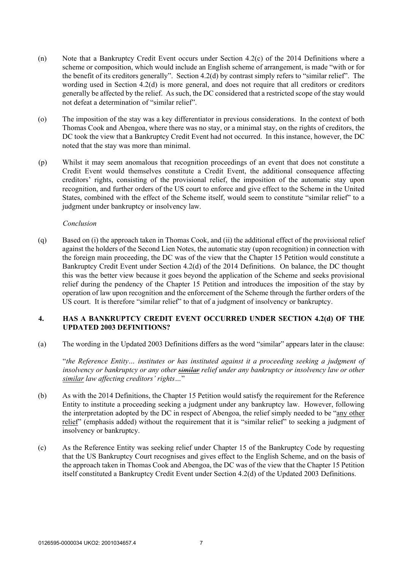- (n) Note that a Bankruptcy Credit Event occurs under Section 4.2(c) of the 2014 Definitions where a scheme or composition, which would include an English scheme of arrangement, is made "with or for the benefit of its creditors generally". Section 4.2(d) by contrast simply refers to "similar relief". The wording used in Section 4.2(d) is more general, and does not require that all creditors or creditors generally be affected by the relief. As such, the DC considered that a restricted scope of the stay would not defeat a determination of "similar relief".
- (o) The imposition of the stay was a key differentiator in previous considerations. In the context of both Thomas Cook and Abengoa, where there was no stay, or a minimal stay, on the rights of creditors, the DC took the view that a Bankruptcy Credit Event had not occurred. In this instance, however, the DC noted that the stay was more than minimal.
- (p) Whilst it may seem anomalous that recognition proceedings of an event that does not constitute a Credit Event would themselves constitute a Credit Event, the additional consequence affecting creditors' rights, consisting of the provisional relief, the imposition of the automatic stay upon recognition, and further orders of the US court to enforce and give effect to the Scheme in the United States, combined with the effect of the Scheme itself, would seem to constitute "similar relief" to a judgment under bankruptcy or insolvency law.

## *Conclusion*

(q) Based on (i) the approach taken in Thomas Cook, and (ii) the additional effect of the provisional relief against the holders of the Second Lien Notes, the automatic stay (upon recognition) in connection with the foreign main proceeding, the DC was of the view that the Chapter 15 Petition would constitute a Bankruptcy Credit Event under Section 4.2(d) of the 2014 Definitions. On balance, the DC thought this was the better view because it goes beyond the application of the Scheme and seeks provisional relief during the pendency of the Chapter 15 Petition and introduces the imposition of the stay by operation of law upon recognition and the enforcement of the Scheme through the further orders of the US court. It is therefore "similar relief" to that of a judgment of insolvency or bankruptcy.

## **4. HAS A BANKRUPTCY CREDIT EVENT OCCURRED UNDER SECTION 4.2(d) OF THE UPDATED 2003 DEFINITIONS?**

(a) The wording in the Updated 2003 Definitions differs as the word "similar" appears later in the clause:

"*the Reference Entity… institutes or has instituted against it a proceeding seeking a judgment of insolvency or bankruptcy or any other similar relief under any bankruptcy or insolvency law or other similar law affecting creditors' rights…*"

- (b) As with the 2014 Definitions, the Chapter 15 Petition would satisfy the requirement for the Reference Entity to institute a proceeding seeking a judgment under any bankruptcy law. However, following the interpretation adopted by the DC in respect of Abengoa, the relief simply needed to be "any other relief" (emphasis added) without the requirement that it is "similar relief" to seeking a judgment of insolvency or bankruptcy.
- (c) As the Reference Entity was seeking relief under Chapter 15 of the Bankruptcy Code by requesting that the US Bankruptcy Court recognises and gives effect to the English Scheme, and on the basis of the approach taken in Thomas Cook and Abengoa, the DC was of the view that the Chapter 15 Petition itself constituted a Bankruptcy Credit Event under Section 4.2(d) of the Updated 2003 Definitions.